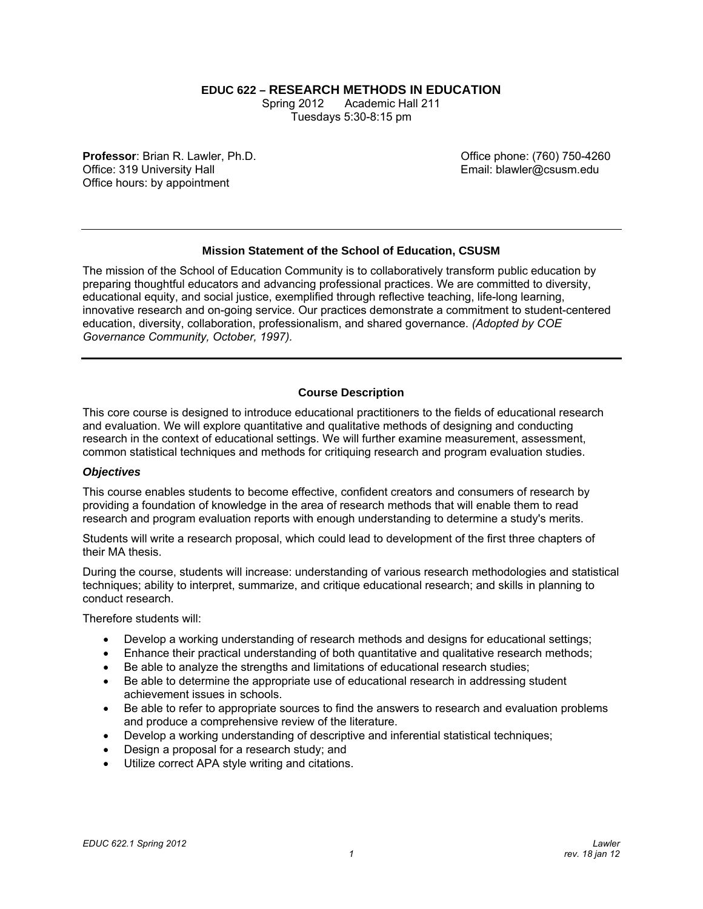**EDUC 622 – RESEARCH METHODS IN EDUCATION**

Spring 2012 Tuesday s 5:30-8:15 pm Academic Hall 211

**Professor**: Brian R. Lawler, Ph.D. Office: 319 University Hall Office hours: by appointment

Office phone: (760) 750-4260 Email: blawler@csusm.edu

# **Mission Statement of the School of Education, CSUSM**

The mission of the School of Education Community is to collaboratively transform public education by preparing thoughtful educators and advancing professional practices. We are committed to diversity, educational equity, and social justice, exemplified through reflective teaching, life-long learning, innovative research and on-going service. Our practices demonstrate a commitment to student-centered education, diversity, collaboration, professionalism, and shared governance. *(Adopted by COE Governance Community, October, 1997).* 

# **Course Description**

This core course is designed to introduce educational practitioners to the fields of educational research and evaluation. We will explore quantitative and qualitative methods of designing and conducting research in the context of educational settings. We will further examine measurement, assessment, common statistical techniques and methods for critiquing research and program evaluation studies.

# *Objectives*

This course enables students to become effective, confident creators and consumers of research by providing a foundation of knowledge in the area of research methods that will enable them to read research and program evaluation reports with enough understanding to determine a study's merits.

Students will write a research proposal, which could lead to development of the first three chapters of their MA thesis.

During the course, students will increase: understanding of various research methodologies and statistical techniques; ability to interpret, summarize, and critique educational research; and skills in planning to conduct research.

Therefore students will:

- Develop a working understanding of research methods and designs for educational settings;
- Enhance their practical understanding of both quantitative and qualitative research methods;
- Be able to analyze the strengths and limitations of educational research studies;
- Be able to determine the appropriate use of educational research in addressing student achievement issues in schools.
- Be able to refer to appropriate sources to find the answers to research and evaluation problems and produce a comprehensive review of the literature.
- Develop a working understanding of descriptive and inferential statistical techniques;
- Design a proposal for a research study; and
- Utilize correct APA style writing and citations.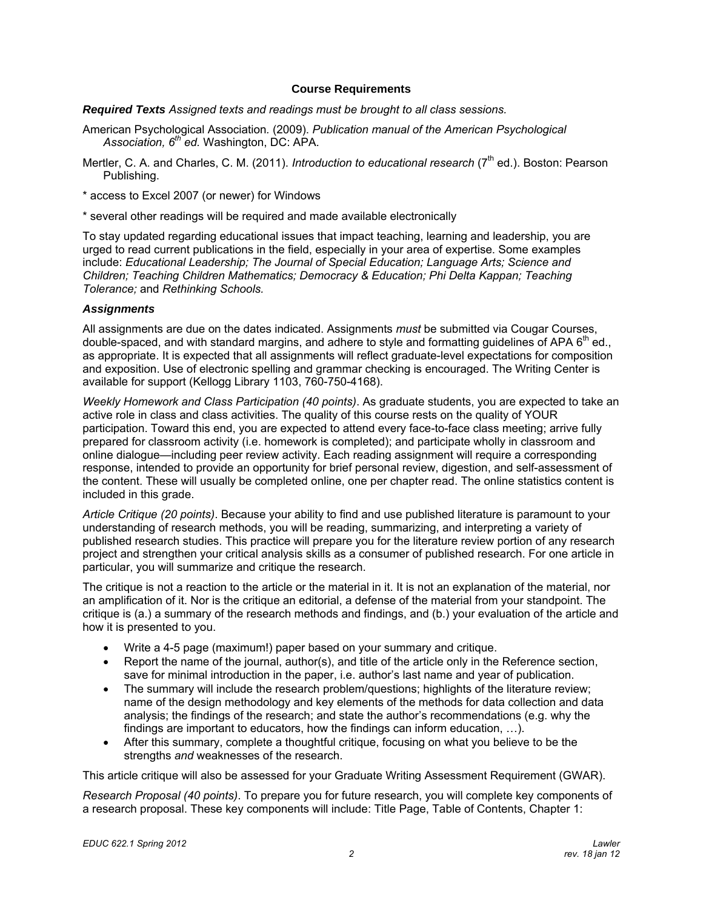#### **Course Requirements**

*Required Texts Assigned texts and readings must be brought to all class sessions.* 

- American Psychological Association*.* (2009). *Publication manual of the American Psychological Association, 6th ed.* Washington, DC: APA.
- Mertler, C. A. and Charles, C. M. (2011). *Introduction to educational research* (7<sup>th</sup> ed.). Boston: Pearson Publishing.
- \* access to Excel 2007 (or newer) for Windows
- \* several other readings will be required and made available electronically

To stay updated regarding educational issues that impact teaching, learning and leadership, you are urged to read current publications in the field, especially in your area of expertise. Some examples include: *Educational Leadership; The Journal of Special Education; Language Arts; Science and Children; Teaching Children Mathematics; Democracy & Education; Phi Delta Kappan; Teaching Tolerance;* and *Rethinking Schools.* 

## *Assignments*

All assignments are due on the dates indicated. Assignments *must* be submitted via Cougar Courses, double-spaced, and with standard margins, and adhere to style and formatting quidelines of APA  $6<sup>th</sup>$  ed., as appropriate. It is expected that all assignments will reflect graduate-level expectations for composition and exposition. Use of electronic spelling and grammar checking is encouraged. The Writing Center is available for support (Kellogg Library 1103, 760-750-4168).

*Weekly Homework and Class Participation (40 points)*. As graduate students, you are expected to take an active role in class and class activities. The quality of this course rests on the quality of YOUR participation. Toward this end, you are expected to attend every face-to-face class meeting; arrive fully prepared for classroom activity (i.e. homework is completed); and participate wholly in classroom and online dialogue—including peer review activity. Each reading assignment will require a corresponding response, intended to provide an opportunity for brief personal review, digestion, and self-assessment of the content. These will usually be completed online, one per chapter read. The online statistics content is included in this grade.

*Article Critique (20 points)*. Because your ability to find and use published literature is paramount to your understanding of research methods, you will be reading, summarizing, and interpreting a variety of published research studies. This practice will prepare you for the literature review portion of any research project and strengthen your critical analysis skills as a consumer of published research. For one article in particular, you will summarize and critique the research.

The critique is not a reaction to the article or the material in it. It is not an explanation of the material, nor an amplification of it. Nor is the critique an editorial, a defense of the material from your standpoint. The critique is (a.) a summary of the research methods and findings, and (b.) your evaluation of the article and how it is presented to you.

- Write a 4-5 page (maximum!) paper based on your summary and critique.
- $\bullet$  Report the name of the journal, author(s), and title of the article only in the Reference section, save for minimal introduction in the paper, i.e. author's last name and year of publication.
- The summary will include the research problem/questions; highlights of the literature review; name of the design methodology and key elements of the methods for data collection and data analysis; the findings of the research; and state the author's recommendations (e.g. why the findings are important to educators, how the findings can inform education, …).
- After this summary, complete a thoughtful critique, focusing on what you believe to be the strengths *and* weaknesses of the research.

This article critique will also be assessed for your Graduate Writing Assessment Requirement (GWAR).

*Research Proposal (40 points)*. To prepare you for future research, you will complete key components of a research proposal. These key components will include: Title Page, Table of Contents, Chapter 1: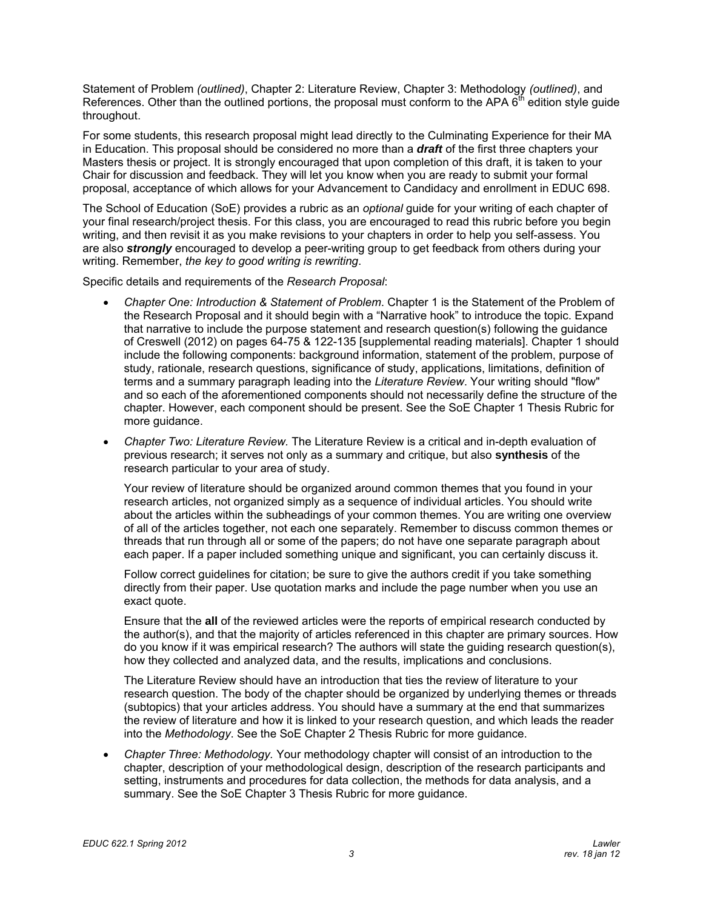Statement of Problem *(outlined)*, Chapter 2: Literature Review, Chapter 3: Methodology *(outlined)*, and References. Other than the outlined portions, the proposal must conform to the APA  $\tilde{\theta}^{th}$  edition style quide throughout.

For some students, this research proposal might lead directly to the Culminating Experience for their MA in Education. This proposal should be considered no more than a *draft* of the first three chapters your Masters thesis or project. It is strongly encouraged that upon completion of this draft, it is taken to your Chair for discussion and feedback. They will let you know when you are ready to submit your formal proposal, acceptance of which allows for your Advancement to Candidacy and enrollment in EDUC 698.

The School of Education (SoE) provides a rubric as an *optional* guide for your writing of each chapter of your final research/project thesis. For this class, you are encouraged to read this rubric before you begin writing, and then revisit it as you make revisions to your chapters in order to help you self-assess. You are also *strongly* encouraged to develop a peer-writing group to get feedback from others during your writing. Remember, *the key to good writing is rewriting*.

Specific details and requirements of the *Research Proposal*:

- *Chapter One: Introduction & Statement of Problem*. Chapter 1 is the Statement of the Problem of the Research Proposal and it should begin with a "Narrative hook" to introduce the topic. Expand that narrative to include the purpose statement and research question(s) following the guidance of Creswell (2012) on pages 64-75 & 122-135 [supplemental reading materials]. Chapter 1 should include the following components: background information, statement of the problem, purpose of study, rationale, research questions, significance of study, applications, limitations, definition of terms and a summary paragraph leading into the *Literature Review*. Your writing should "flow" and so each of the aforementioned components should not necessarily define the structure of the chapter. However, each component should be present. See the SoE Chapter 1 Thesis Rubric for more guidance.
- *Chapter Two: Literature Review.* The Literature Review is a critical and in-depth evaluation of previous research; it serves not only as a summary and critique, but also **synthesis** of the research particular to your area of study.

Your review of literature should be organized around common themes that you found in your research articles, not organized simply as a sequence of individual articles. You should write about the articles within the subheadings of your common themes. You are writing one overview of all of the articles together, not each one separately. Remember to discuss common themes or threads that run through all or some of the papers; do not have one separate paragraph about each paper. If a paper included something unique and significant, you can certainly discuss it.

Follow correct guidelines for citation; be sure to give the authors credit if you take something directly from their paper. Use quotation marks and include the page number when you use an exact quote.

Ensure that the **all** of the reviewed articles were the reports of empirical research conducted by the author(s), and that the majority of articles referenced in this chapter are primary sources. How do you know if it was empirical research? The authors will state the guiding research question(s), how they collected and analyzed data, and the results, implications and conclusions.

The Literature Review should have an introduction that ties the review of literature to your research question. The body of the chapter should be organized by underlying themes or threads (subtopics) that your articles address. You should have a summary at the end that summarizes the review of literature and how it is linked to your research question, and which leads the reader into the *Methodology*. See the SoE Chapter 2 Thesis Rubric for more guidance.

 *Chapter Three: Methodology.* Your methodology chapter will consist of an introduction to the chapter, description of your methodological design, description of the research participants and setting, instruments and procedures for data collection, the methods for data analysis, and a summary. See the SoE Chapter 3 Thesis Rubric for more guidance.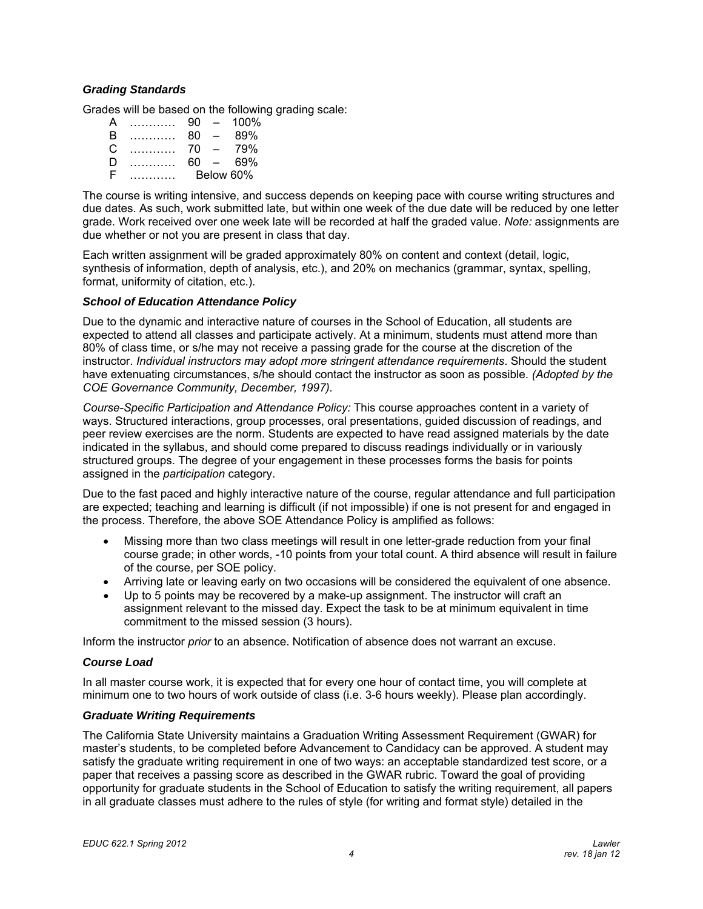## *Grading Standards*

Grades will be based on the following grading scale:

| А |              | 90        | $\overline{\phantom{0}}$ | $100\%$ |
|---|--------------|-----------|--------------------------|---------|
| B | .            | 80        | $\equiv$                 | 89%     |
| C | . . <b>.</b> | 70        | $\equiv$                 | 79%     |
| D | <u>.</u>     | 60        | $\sim$                   | 69%     |
| F |              | Below 60% |                          |         |

The course is writing intensive, and success depends on keeping pace with course writing structures and due dates. As such, work submitted late, but within one week of the due date will be reduced by one letter grade. Work received over one week late will be recorded at half the graded value. *Note:* assignments are due whether or not you are present in class that day.

Each written assignment will be graded approximately 80% on content and context (detail, logic, synthesis of information, depth of analysis, etc.), and 20% on mechanics (grammar, syntax, spelling, format, uniformity of citation, etc.).

## *School of Education Attendance Policy*

COE Governance Community, December, 1997). Due to the dynamic and interactive nature of courses in the School of Education, all students are expected to attend all classes and participate actively. At a minimum, students must attend more than 80% of class time, or s/he may not receive a passing grade for the course at the discretion of the instructor. *Individual instructors may adopt more stringent attendance requirements*. Should the student have extenuating circumstances, s/he should contact the instructor as soon as possible. *(Adopted by the* 

*Course-Specific Participation and Attendance Policy:* This course approaches content in a variety of ways. Structured interactions, group processes, oral presentations, guided discussion of readings, and peer review exercises are the norm. Students are expected to have read assigned materials by the date indicated in the syllabus, and should come prepared to discuss readings individually or in variously structured groups. The degree of your engagement in these processes forms the basis for points assigned in the *participation* category.

Due to the fast paced and highly interactive nature of the course, regular attendance and full participation are expected; teaching and learning is difficult (if not impossible) if one is not present for and engaged in the process. Therefore, the above SOE Attendance Policy is amplified as follows:

- Missing more than two class meetings will result in one letter-grade reduction from your final course grade; in other words, -10 points from your total count. A third absence will result in failure of the course, per SOE policy.
- Arriving late or leaving early on two occasions will be considered the equivalent of one absence.
- Up to 5 points may be recovered by a make-up assignment. The instructor will craft an assignment relevant to the missed day. Expect the task to be at minimum equivalent in time commitment to the missed session (3 hours).

Inform the instructor *prior* to an absence. Notification of absence does not warrant an excuse.

## *Course Load*

In all master course work, it is expected that for every one hour of contact time, you will complete at minimum one to two hours of work outside of class (i.e. 3-6 hours weekly). Please plan accordingly.

## *Graduate Writing Requirements*

The California State University maintains a Graduation Writing Assessment Requirement (GWAR) for master's students, to be completed before Advancement to Candidacy can be approved. A student may satisfy the graduate writing requirement in one of two ways: an acceptable standardized test score, or a paper that receives a passing score as described in the GWAR rubric. Toward the goal of providing opportunity for graduate students in the School of Education to satisfy the writing requirement, all papers in all graduate classes must adhere to the rules of style (for writing and format style) detailed in the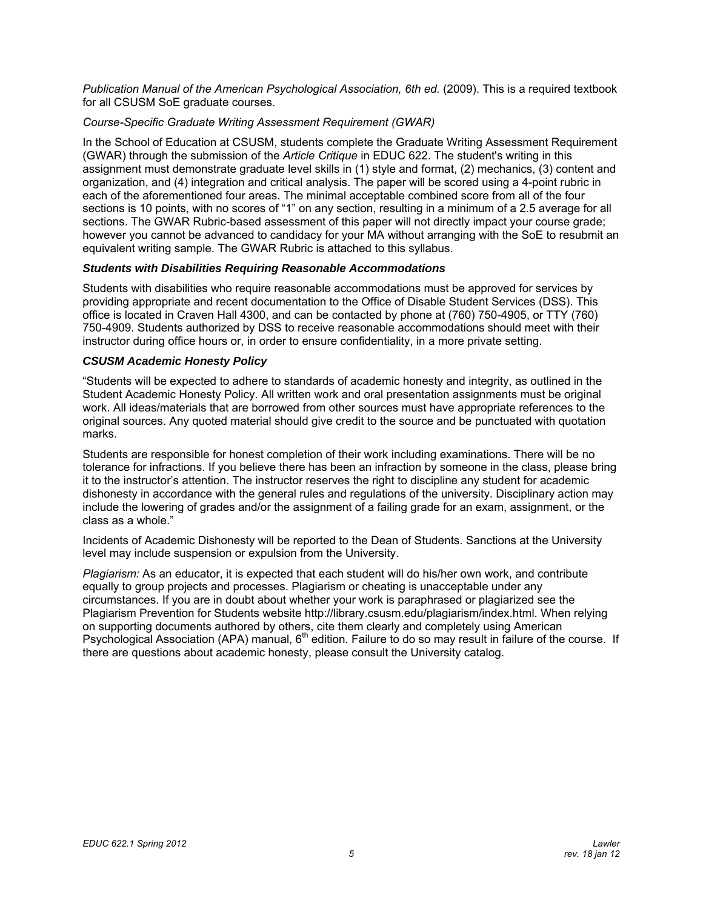*Publication Manual of the American Psychological Association, 6th ed.* (2009). This is a required textbook for all CSUSM SoE graduate courses.

## *Course-Specific Graduate Writing Assessment Requirement (GWAR)*

 equivalent writing sample. The GWAR Rubric is attached to this syllabus. In the School of Education at CSUSM, students complete the Graduate Writing Assessment Requirement (GWAR) through the submission of the *Article Critique* in EDUC 622. The student's writing in this assignment must demonstrate graduate level skills in (1) style and format, (2) mechanics, (3) content and organization, and (4) integration and critical analysis. The paper will be scored using a 4-point rubric in each of the aforementioned four areas. The minimal acceptable combined score from all of the four sections is 10 points, with no scores of "1" on any section, resulting in a minimum of a 2.5 average for all sections. The GWAR Rubric-based assessment of this paper will not directly impact your course grade; however you cannot be advanced to candidacy for your MA without arranging with the SoE to resubmit an

## *Students with Disabilities Requiring Reasonable Accommodations*

Students with disabilities who require reasonable accommodations must be approved for services by providing appropriate and recent documentation to the Office of Disable Student Services (DSS). This office is located in Craven Hall 4300, and can be contacted by phone at (760) 750-4905, or TTY (760) 750-4909. Students authorized by DSS to receive reasonable accommodations should meet with their instructor during office hours or, in order to ensure confidentiality, in a more private setting.

## *CSUSM Academic Honesty Policy*

"Students will be expected to adhere to standards of academic honesty and integrity, as outlined in the Student Academic Honesty Policy. All written work and oral presentation assignments must be original work. All ideas/materials that are borrowed from other sources must have appropriate references to the original sources. Any quoted material should give credit to the source and be punctuated with quotation marks.

Students are responsible for honest completion of their work including examinations. There will be no tolerance for infractions. If you believe there has been an infraction by someone in the class, please bring it to the instructor's attention. The instructor reserves the right to discipline any student for academic dishonesty in accordance with the general rules and regulations of the university. Disciplinary action may include the lowering of grades and/or the assignment of a failing grade for an exam, assignment, or the class as a whole."

Incidents of Academic Dishonesty will be reported to the Dean of Students. Sanctions at the University level may include suspension or expulsion from the University.

*Plagiarism:* As an educator, it is expected that each student will do his/her own work, and contribute equally to group projects and processes. Plagiarism or cheating is unacceptable under any circumstances. If you are in doubt about whether your work is paraphrased or plagiarized see the Plagiarism Prevention for Students website http://library.csusm.edu/plagiarism/index.html. When relying on supporting documents authored by others, cite them clearly and completely using American Psychological Association (APA) manual, 6<sup>th</sup> edition. Failure to do so may result in failure of the course. If there are questions about academic honesty, please consult the University catalog.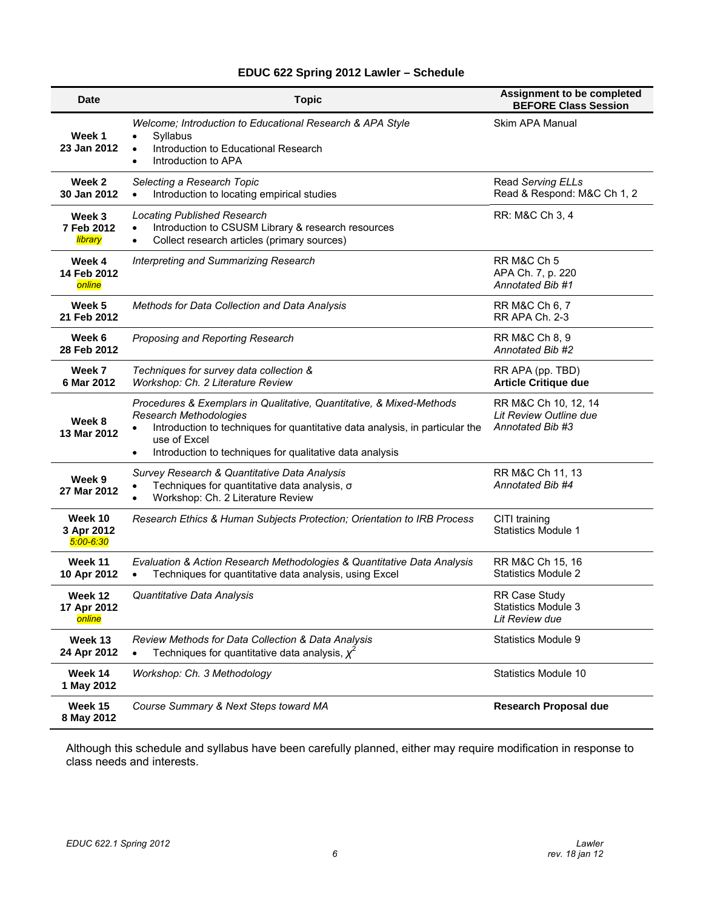# **EDUC 622 Spring 2012 Lawler – Schedule**

| <b>Date</b>                            | <b>Topic</b>                                                                                                                                                                                                                                                                         | <b>Assignment to be completed</b><br><b>BEFORE Class Session</b>     |
|----------------------------------------|--------------------------------------------------------------------------------------------------------------------------------------------------------------------------------------------------------------------------------------------------------------------------------------|----------------------------------------------------------------------|
| Week 1<br>23 Jan 2012                  | Welcome; Introduction to Educational Research & APA Style<br>Syllabus<br>$\bullet$<br>Introduction to Educational Research<br>$\bullet$<br>Introduction to APA<br>$\bullet$                                                                                                          | Skim APA Manual                                                      |
| Week 2<br>30 Jan 2012                  | Selecting a Research Topic<br>Introduction to locating empirical studies<br>$\bullet$                                                                                                                                                                                                | Read Serving ELLs<br>Read & Respond: M&C Ch 1, 2                     |
| Week 3<br>7 Feb 2012<br><b>library</b> | <b>Locating Published Research</b><br>Introduction to CSUSM Library & research resources<br>Collect research articles (primary sources)<br>$\bullet$                                                                                                                                 | RR: M&C Ch 3, 4                                                      |
| Week 4<br>14 Feb 2012<br>online        | Interpreting and Summarizing Research                                                                                                                                                                                                                                                | RR M&C Ch 5<br>APA Ch. 7, p. 220<br>Annotated Bib #1                 |
| Week 5<br>21 Feb 2012                  | Methods for Data Collection and Data Analysis                                                                                                                                                                                                                                        | RR M&C Ch 6, 7<br><b>RR APA Ch. 2-3</b>                              |
| Week 6<br>28 Feb 2012                  | Proposing and Reporting Research                                                                                                                                                                                                                                                     | RR M&C Ch 8, 9<br>Annotated Bib #2                                   |
| Week 7<br>6 Mar 2012                   | Techniques for survey data collection &<br>Workshop: Ch. 2 Literature Review                                                                                                                                                                                                         | RR APA (pp. TBD)<br><b>Article Critique due</b>                      |
| Week 8<br>13 Mar 2012                  | Procedures & Exemplars in Qualitative, Quantitative, & Mixed-Methods<br>Research Methodologies<br>Introduction to techniques for quantitative data analysis, in particular the<br>$\bullet$<br>use of Excel<br>Introduction to techniques for qualitative data analysis<br>$\bullet$ | RR M&C Ch 10, 12, 14<br>Lit Review Outline due<br>Annotated Bib #3   |
| Week 9<br>27 Mar 2012                  | Survey Research & Quantitative Data Analysis<br>Techniques for quantitative data analysis, o<br>Workshop: Ch. 2 Literature Review                                                                                                                                                    | RR M&C Ch 11, 13<br>Annotated Bib #4                                 |
| Week 10<br>3 Apr 2012<br>$5:00 - 6:30$ | Research Ethics & Human Subjects Protection; Orientation to IRB Process                                                                                                                                                                                                              | CITI training<br><b>Statistics Module 1</b>                          |
| Week 11<br>10 Apr 2012                 | Evaluation & Action Research Methodologies & Quantitative Data Analysis<br>Techniques for quantitative data analysis, using Excel                                                                                                                                                    | RR M&C Ch 15, 16<br><b>Statistics Module 2</b>                       |
| Week 12<br>17 Apr 2012<br>online       | Quantitative Data Analysis                                                                                                                                                                                                                                                           | <b>RR Case Study</b><br><b>Statistics Module 3</b><br>Lit Review due |
| Week 13<br>24 Apr 2012                 | Review Methods for Data Collection & Data Analysis<br>Techniques for quantitative data analysis, $\chi^2$<br>$\bullet$                                                                                                                                                               | Statistics Module 9                                                  |
| Week 14<br>1 May 2012                  | Workshop: Ch. 3 Methodology                                                                                                                                                                                                                                                          | Statistics Module 10                                                 |
| Week 15<br>8 May 2012                  | Course Summary & Next Steps toward MA                                                                                                                                                                                                                                                | <b>Research Proposal due</b>                                         |

Although this schedule and syllabus have been carefully planned, either may require modification in response to class needs and interests.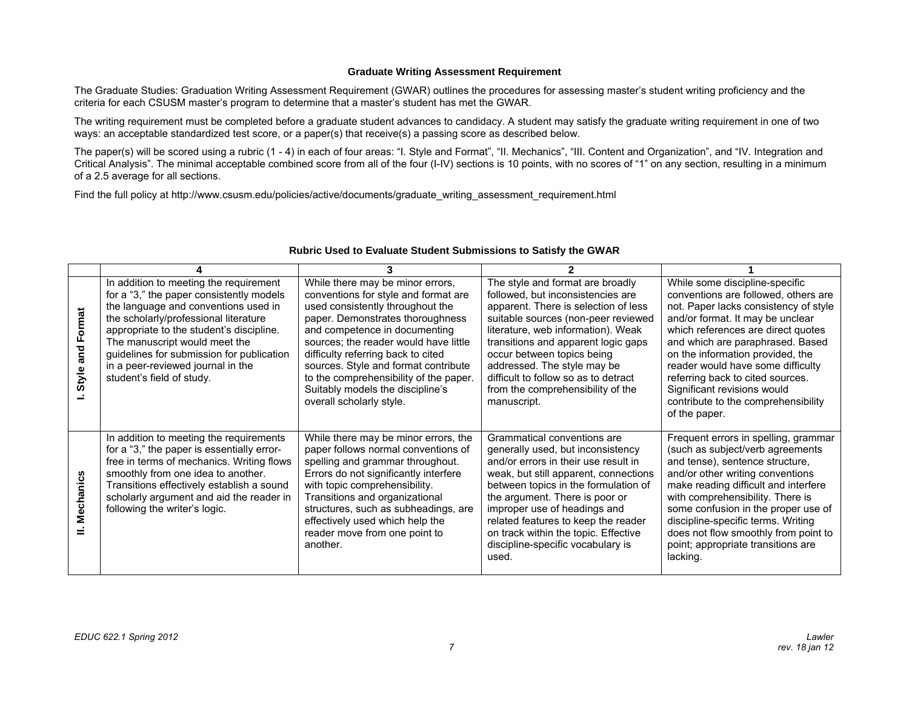#### **Graduate Writing Assessment Requirement**

The Graduate Studies: Graduation Writing Assessment Requirement (GWAR) outlines the procedures for assessing master's student writing proficiency and the criteria for each CSUSM master's program to determine that a master's student has met the GWAR.

The writing requirement must be completed before a graduate student advances to candidacy. A student may satisfy the graduate writing requirement in one of two ways: an acceptable standardized test score, or a paper(s) that receive(s) a passing score as described below.

The paper(s) will be scored using a rubric (1 - 4) in each of four areas: "I. Style and Format", "II. Mechanics", "III. Content and Organization", and "IV. Integration and Critical Analysis". The minimal acceptable combined score from all of the four (I-IV) sections is 10 points, with no scores of "1" on any section, resulting in a minimum of a 2.5 average for all sections.

Find the full policy at http://www.csusm.edu/policies/active/documents/graduate\_writing\_assessment\_requirement.html

| Format<br>and<br>Style a | In addition to meeting the requirement<br>for a "3," the paper consistently models<br>the language and conventions used in<br>the scholarly/professional literature<br>appropriate to the student's discipline.<br>The manuscript would meet the<br>guidelines for submission for publication<br>in a peer-reviewed journal in the<br>student's field of study. | While there may be minor errors,<br>conventions for style and format are<br>used consistently throughout the<br>paper. Demonstrates thoroughness<br>and competence in documenting<br>sources; the reader would have little<br>difficulty referring back to cited<br>sources. Style and format contribute<br>to the comprehensibility of the paper.<br>Suitably models the discipline's<br>overall scholarly style. | The style and format are broadly<br>followed, but inconsistencies are<br>apparent. There is selection of less<br>suitable sources (non-peer reviewed<br>literature, web information). Weak<br>transitions and apparent logic gaps<br>occur between topics being<br>addressed. The style may be<br>difficult to follow so as to detract<br>from the comprehensibility of the<br>manuscript. | While some discipline-specific<br>conventions are followed, others are<br>not. Paper lacks consistency of style<br>and/or format. It may be unclear<br>which references are direct quotes<br>and which are paraphrased. Based<br>on the information provided, the<br>reader would have some difficulty<br>referring back to cited sources.<br>Significant revisions would<br>contribute to the comprehensibility<br>of the paper. |
|--------------------------|-----------------------------------------------------------------------------------------------------------------------------------------------------------------------------------------------------------------------------------------------------------------------------------------------------------------------------------------------------------------|--------------------------------------------------------------------------------------------------------------------------------------------------------------------------------------------------------------------------------------------------------------------------------------------------------------------------------------------------------------------------------------------------------------------|--------------------------------------------------------------------------------------------------------------------------------------------------------------------------------------------------------------------------------------------------------------------------------------------------------------------------------------------------------------------------------------------|-----------------------------------------------------------------------------------------------------------------------------------------------------------------------------------------------------------------------------------------------------------------------------------------------------------------------------------------------------------------------------------------------------------------------------------|
| Mechanics                | In addition to meeting the requirements<br>for a "3," the paper is essentially error-<br>free in terms of mechanics. Writing flows<br>smoothly from one idea to another.<br>Transitions effectively establish a sound<br>scholarly argument and aid the reader in<br>following the writer's logic.                                                              | While there may be minor errors, the<br>paper follows normal conventions of<br>spelling and grammar throughout.<br>Errors do not significantly interfere<br>with topic comprehensibility.<br>Transitions and organizational<br>structures, such as subheadings, are<br>effectively used which help the<br>reader move from one point to<br>another.                                                                | Grammatical conventions are<br>generally used, but inconsistency<br>and/or errors in their use result in<br>weak, but still apparent, connections<br>between topics in the formulation of<br>the argument. There is poor or<br>improper use of headings and<br>related features to keep the reader<br>on track within the topic. Effective<br>discipline-specific vocabulary is<br>used.   | Frequent errors in spelling, grammar<br>(such as subject/verb agreements<br>and tense), sentence structure,<br>and/or other writing conventions<br>make reading difficult and interfere<br>with comprehensibility. There is<br>some confusion in the proper use of<br>discipline-specific terms. Writing<br>does not flow smoothly from point to<br>point; appropriate transitions are<br>lacking.                                |

#### **Rubric Used to Evaluate Student Submissions to Satisfy the GWAR**